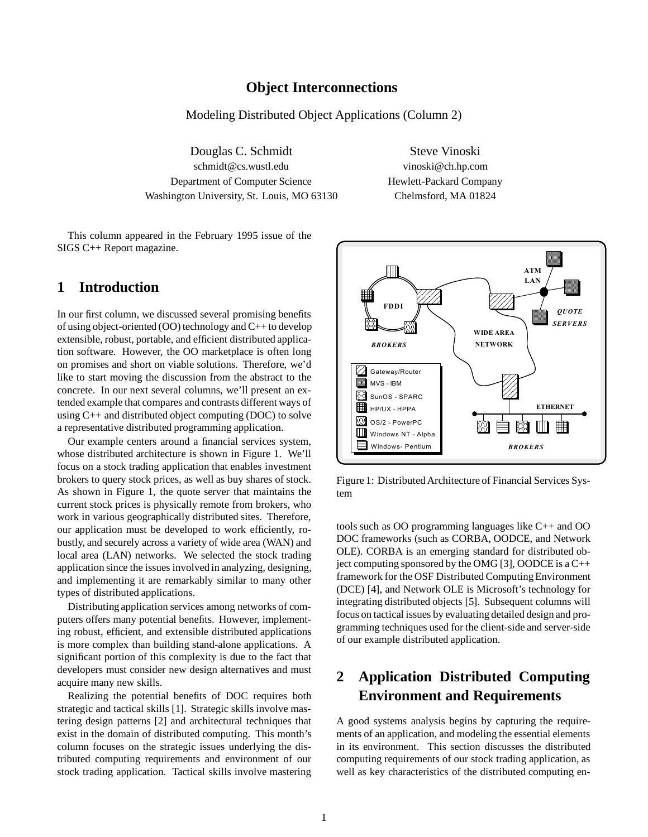#### **Object Interconnections**

Modeling Distributed Object Applications (Column 2)

Douglas C. Schmidt Steve Vinoski schmidt@cs.wustl.edu vinoski@ch.hp.com Department of Computer Science Hewlett-Packard Company Washington University, St. Louis, MO 63130 Chelmsford, MA 01824

This column appeared in the February 1995 issue of the SIGS C++ Report magazine.

## **1 Introduction**

In our first column, we discussed several promising benefits of using object-oriented (OO) technology and C++ to develop extensible, robust, portable, and efficient distributed application software. However, the OO marketplace is often long on promises and short on viable solutions. Therefore, we'd like to start moving the discussion from the abstract to the concrete. In our next several columns, we'll present an extended example that compares and contrasts different ways of using  $C_{++}$  and distributed object computing (DOC) to solve a representative distributed programming application.

Our example centers around a financial services system, whose distributed architecture is shown in Figure 1. We'll focus on a stock trading application that enables investment brokers to query stock prices, as well as buy shares of stock. As shown in Figure 1, the quote server that maintains the current stock prices is physically remote from brokers, who work in various geographically distributed sites. Therefore, our application must be developed to work efficiently, robustly, and securely across a variety of wide area (WAN) and local area (LAN) networks. We selected the stock trading application since the issues involved in analyzing, designing, and implementing it are remarkably similar to many other types of distributed applications.

Distributing application services among networks of computers offers many potential benefits. However, implementing robust, efficient, and extensible distributed applications is more complex than building stand-alone applications. A significant portion of this complexity is due to the fact that developers must consider new design alternatives and must acquire many new skills.

Realizing the potential benefits of DOC requires both strategic and tactical skills [1]. Strategic skills involve mastering design patterns [2] and architectural techniques that exist in the domain of distributed computing. This month's column focuses on the strategic issues underlying the distributed computing requirements and environment of our stock trading application. Tactical skills involve mastering



Figure 1: Distributed Architecture of Financial Services System

tools such as OO programming languages like C++ and OO DOC frameworks (such as CORBA, OODCE, and Network OLE). CORBA is an emerging standard for distributed object computing sponsored by the OMG [3], OODCE is a C++ framework for the OSF Distributed Computing Environment (DCE) [4], and Network OLE is Microsoft's technology for integrating distributed objects [5]. Subsequent columns will focus on tactical issues by evaluating detailed design and programming techniques used for the client-side and server-side of our example distributed application.

# **2 Application Distributed Computing Environment and Requirements**

A good systems analysis begins by capturing the requirements of an application, and modeling the essential elements in its environment. This section discusses the distributed computing requirements of our stock trading application, as well as key characteristics of the distributed computing en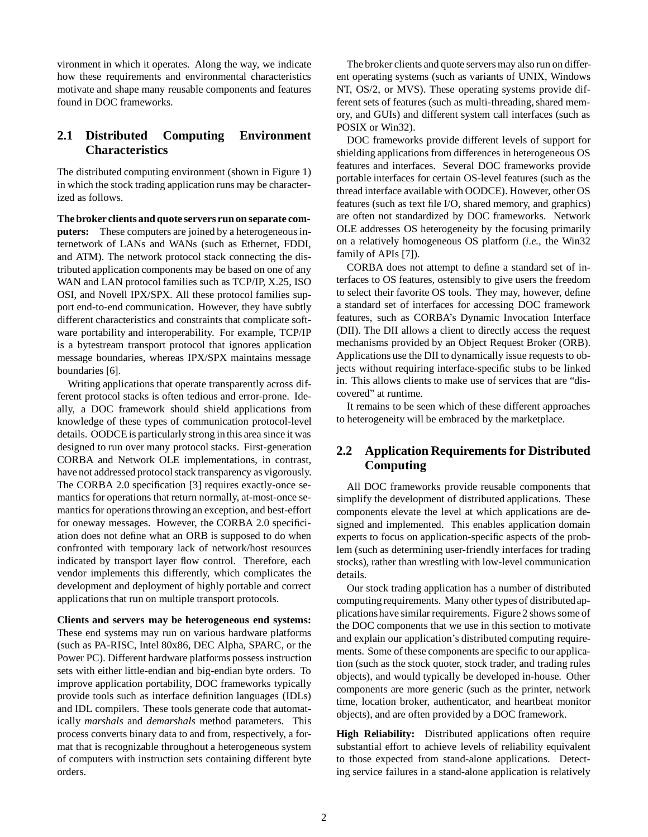vironment in which it operates. Along the way, we indicate how these requirements and environmental characteristics motivate and shape many reusable components and features found in DOC frameworks.

## **2.1 Distributed Computing Environment Characteristics**

The distributed computing environment (shown in Figure 1) in which the stock trading application runs may be characterized as follows.

**The broker clients and quote servers run on separate computers:** These computers are joined by a heterogeneous internetwork of LANs and WANs (such as Ethernet, FDDI, and ATM). The network protocol stack connecting the distributed application components may be based on one of any WAN and LAN protocol families such as TCP/IP, X.25, ISO OSI, and Novell IPX/SPX. All these protocol families support end-to-end communication. However, they have subtly different characteristics and constraints that complicate software portability and interoperability. For example, TCP/IP is a bytestream transport protocol that ignores application message boundaries, whereas IPX/SPX maintains message boundaries [6].

Writing applications that operate transparently across different protocol stacks is often tedious and error-prone. Ideally, a DOC framework should shield applications from knowledge of these types of communication protocol-level details. OODCE is particularly strong in this area since it was designed to run over many protocol stacks. First-generation CORBA and Network OLE implementations, in contrast, have not addressed protocol stack transparency as vigorously. The CORBA 2.0 specification [3] requires exactly-once semantics for operations that return normally, at-most-once semantics for operations throwing an exception, and best-effort for oneway messages. However, the CORBA 2.0 specificiation does not define what an ORB is supposed to do when confronted with temporary lack of network/host resources indicated by transport layer flow control. Therefore, each vendor implements this differently, which complicates the development and deployment of highly portable and correct applications that run on multiple transport protocols.

**Clients and servers may be heterogeneous end systems:** These end systems may run on various hardware platforms (such as PA-RISC, Intel 80x86, DEC Alpha, SPARC, or the Power PC). Different hardware platforms possess instruction sets with either little-endian and big-endian byte orders. To improve application portability, DOC frameworks typically provide tools such as interface definition languages (IDLs) and IDL compilers. These tools generate code that automatically *marshals* and *demarshals* method parameters. This process converts binary data to and from, respectively, a format that is recognizable throughout a heterogeneous system of computers with instruction sets containing different byte orders.

The broker clients and quote servers may also run on different operating systems (such as variants of UNIX, Windows NT, OS/2, or MVS). These operating systems provide different sets of features (such as multi-threading, shared memory, and GUIs) and different system call interfaces (such as POSIX or Win32).

DOC frameworks provide different levels of support for shielding applications from differences in heterogeneous OS features and interfaces. Several DOC frameworks provide portable interfaces for certain OS-level features (such as the thread interface available with OODCE). However, other OS features (such as text file I/O, shared memory, and graphics) are often not standardized by DOC frameworks. Network OLE addresses OS heterogeneity by the focusing primarily on a relatively homogeneous OS platform (*i.e.,* the Win32 family of APIs [7]).

CORBA does not attempt to define a standard set of interfaces to OS features, ostensibly to give users the freedom to select their favorite OS tools. They may, however, define a standard set of interfaces for accessing DOC framework features, such as CORBA's Dynamic Invocation Interface (DII). The DII allows a client to directly access the request mechanisms provided by an Object Request Broker (ORB). Applications use the DII to dynamically issue requests to objects without requiring interface-specific stubs to be linked in. This allows clients to make use of services that are "discovered" at runtime.

It remains to be seen which of these different approaches to heterogeneity will be embraced by the marketplace.

#### **2.2 Application Requirements for Distributed Computing**

All DOC frameworks provide reusable components that simplify the development of distributed applications. These components elevate the level at which applications are designed and implemented. This enables application domain experts to focus on application-specific aspects of the problem (such as determining user-friendly interfaces for trading stocks), rather than wrestling with low-level communication details.

Our stock trading application has a number of distributed computing requirements. Many other types of distributedapplicationshave similar requirements. Figure 2 shows some of the DOC components that we use in this section to motivate and explain our application's distributed computing requirements. Some of these components are specific to our application (such as the stock quoter, stock trader, and trading rules objects), and would typically be developed in-house. Other components are more generic (such as the printer, network time, location broker, authenticator, and heartbeat monitor objects), and are often provided by a DOC framework.

**High Reliability:** Distributed applications often require substantial effort to achieve levels of reliability equivalent to those expected from stand-alone applications. Detecting service failures in a stand-alone application is relatively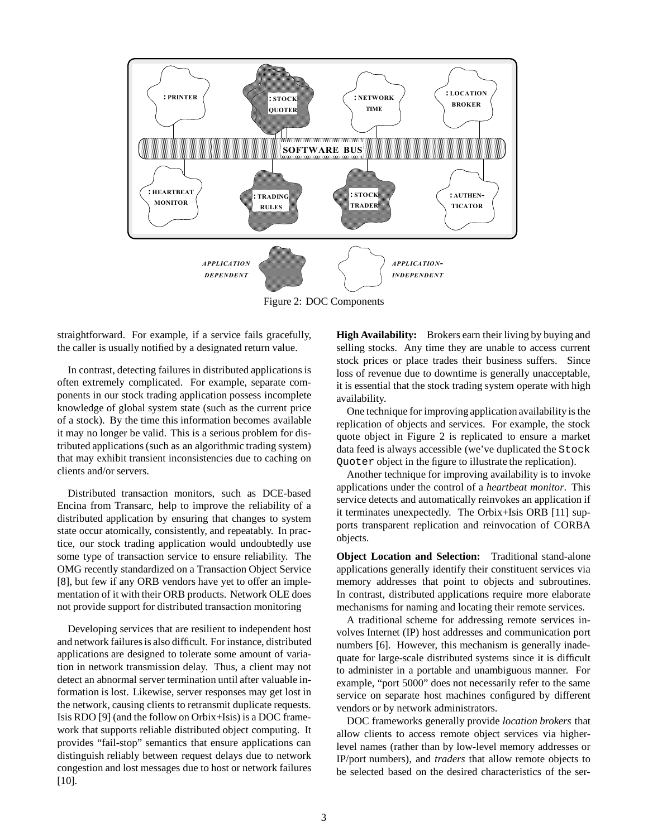

Figure 2: DOC Components

straightforward. For example, if a service fails gracefully, the caller is usually notified by a designated return value.

In contrast, detecting failures in distributed applications is often extremely complicated. For example, separate components in our stock trading application possess incomplete knowledge of global system state (such as the current price of a stock). By the time this information becomes available it may no longer be valid. This is a serious problem for distributed applications (such as an algorithmic trading system) that may exhibit transient inconsistencies due to caching on clients and/or servers.

Distributed transaction monitors, such as DCE-based Encina from Transarc, help to improve the reliability of a distributed application by ensuring that changes to system state occur atomically, consistently, and repeatably. In practice, our stock trading application would undoubtedly use some type of transaction service to ensure reliability. The OMG recently standardized on a Transaction Object Service [8], but few if any ORB vendors have yet to offer an implementation of it with their ORB products. Network OLE does not provide support for distributed transaction monitoring

Developing services that are resilient to independent host and network failures is also difficult. For instance, distributed applications are designed to tolerate some amount of variation in network transmission delay. Thus, a client may not detect an abnormal server termination until after valuable information is lost. Likewise, server responses may get lost in the network, causing clients to retransmit duplicate requests. Isis RDO [9] (and the follow on Orbix+Isis) is a DOC framework that supports reliable distributed object computing. It provides "fail-stop" semantics that ensure applications can distinguish reliably between request delays due to network congestion and lost messages due to host or network failures [10].

**High Availability:** Brokers earn their living by buying and selling stocks. Any time they are unable to access current stock prices or place trades their business suffers. Since loss of revenue due to downtime is generally unacceptable, it is essential that the stock trading system operate with high availability.

One technique for improving application availability is the replication of objects and services. For example, the stock quote object in Figure 2 is replicated to ensure a market data feed is always accessible (we've duplicated the Stock Quoter object in the figure to illustrate the replication).

Another technique for improving availability is to invoke applications under the control of a *heartbeat monitor*. This service detects and automatically reinvokes an application if it terminates unexpectedly. The Orbix+Isis ORB [11] supports transparent replication and reinvocation of CORBA objects.

**Object Location and Selection:** Traditional stand-alone applications generally identify their constituent services via memory addresses that point to objects and subroutines. In contrast, distributed applications require more elaborate mechanisms for naming and locating their remote services.

A traditional scheme for addressing remote services involves Internet (IP) host addresses and communication port numbers [6]. However, this mechanism is generally inadequate for large-scale distributed systems since it is difficult to administer in a portable and unambiguous manner. For example, "port 5000" does not necessarily refer to the same service on separate host machines configured by different vendors or by network administrators.

DOC frameworks generally provide *location brokers* that allow clients to access remote object services via higherlevel names (rather than by low-level memory addresses or IP/port numbers), and *traders* that allow remote objects to be selected based on the desired characteristics of the ser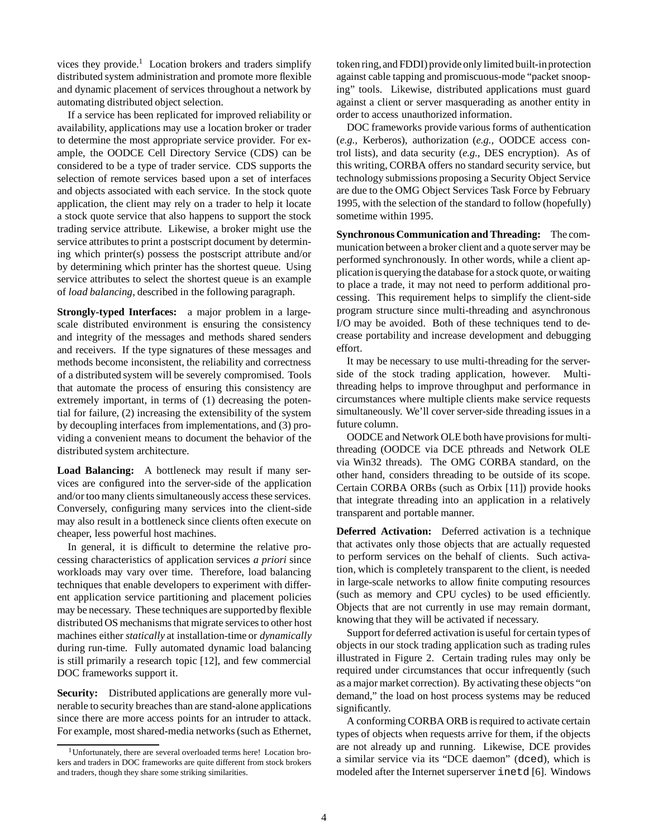vices they provide.<sup>1</sup> Location brokers and traders simplify distributed system administration and promote more flexible and dynamic placement of services throughout a network by automating distributed object selection.

If a service has been replicated for improved reliability or availability, applications may use a location broker or trader to determine the most appropriate service provider. For example, the OODCE Cell Directory Service (CDS) can be considered to be a type of trader service. CDS supports the selection of remote services based upon a set of interfaces and objects associated with each service. In the stock quote application, the client may rely on a trader to help it locate a stock quote service that also happens to support the stock trading service attribute. Likewise, a broker might use the service attributes to print a postscript document by determining which printer(s) possess the postscript attribute and/or by determining which printer has the shortest queue. Using service attributes to select the shortest queue is an example of *load balancing*, described in the following paragraph.

**Strongly-typed Interfaces:** a major problem in a largescale distributed environment is ensuring the consistency and integrity of the messages and methods shared senders and receivers. If the type signatures of these messages and methods become inconsistent, the reliability and correctness of a distributed system will be severely compromised. Tools that automate the process of ensuring this consistency are extremely important, in terms of (1) decreasing the potential for failure, (2) increasing the extensibility of the system by decoupling interfaces from implementations, and (3) providing a convenient means to document the behavior of the distributed system architecture.

**Load Balancing:** A bottleneck may result if many services are configured into the server-side of the application and/or too many clients simultaneously access these services. Conversely, configuring many services into the client-side may also result in a bottleneck since clients often execute on cheaper, less powerful host machines.

In general, it is difficult to determine the relative processing characteristics of application services *a priori* since workloads may vary over time. Therefore, load balancing techniques that enable developers to experiment with different application service partitioning and placement policies may be necessary. These techniques are supported by flexible distributed OS mechanisms that migrate services to other host machines either *statically* at installation-time or *dynamically* during run-time. Fully automated dynamic load balancing is still primarily a research topic [12], and few commercial DOC frameworks support it.

**Security:** Distributed applications are generally more vulnerable to security breaches than are stand-alone applications since there are more access points for an intruder to attack. For example, most shared-media networks (such as Ethernet, token ring, and FDDI) provide only limited built-in protection against cable tapping and promiscuous-mode "packet snooping" tools. Likewise, distributed applications must guard against a client or server masquerading as another entity in order to access unauthorized information.

DOC frameworks provide various forms of authentication (*e.g.,* Kerberos), authorization (*e.g.,* OODCE access control lists), and data security (*e.g.,* DES encryption). As of this writing, CORBA offers no standard security service, but technology submissions proposing a Security Object Service are due to the OMG Object Services Task Force by February 1995, with the selection of the standard to follow (hopefully) sometime within 1995.

**Synchronous Communication and Threading:** The communication between a broker client and a quote server may be performed synchronously. In other words, while a client applicationis querying the database for a stock quote, or waiting to place a trade, it may not need to perform additional processing. This requirement helps to simplify the client-side program structure since multi-threading and asynchronous I/O may be avoided. Both of these techniques tend to decrease portability and increase development and debugging effort.

It may be necessary to use multi-threading for the serverside of the stock trading application, however. Multithreading helps to improve throughput and performance in circumstances where multiple clients make service requests simultaneously. We'll cover server-side threading issues in a future column.

OODCE and Network OLE both have provisions for multithreading (OODCE via DCE pthreads and Network OLE via Win32 threads). The OMG CORBA standard, on the other hand, considers threading to be outside of its scope. Certain CORBA ORBs (such as Orbix [11]) provide hooks that integrate threading into an application in a relatively transparent and portable manner.

**Deferred Activation:** Deferred activation is a technique that activates only those objects that are actually requested to perform services on the behalf of clients. Such activation, which is completely transparent to the client, is needed in large-scale networks to allow finite computing resources (such as memory and CPU cycles) to be used efficiently. Objects that are not currently in use may remain dormant, knowing that they will be activated if necessary.

Support for deferred activation is useful for certain types of objects in our stock trading application such as trading rules illustrated in Figure 2. Certain trading rules may only be required under circumstances that occur infrequently (such as a major market correction). By activating these objects "on demand," the load on host process systems may be reduced significantly.

A conforming CORBA ORB is required to activate certain types of objects when requests arrive for them, if the objects are not already up and running. Likewise, DCE provides a similar service via its "DCE daemon" (dced), which is modeled after the Internet superserver inetd [6]. Windows

<sup>&</sup>lt;sup>1</sup>Unfortunately, there are several overloaded terms here! Location brokers and traders in DOC frameworks are quite different from stock brokers and traders, though they share some striking similarities.